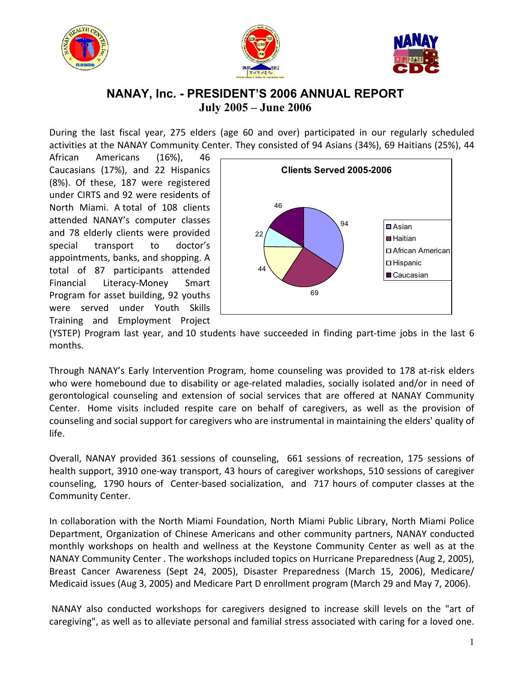





## **NANAY, Inc. - PRESIDENT'S 2006 ANNUAL REPORT July 2005 – June 2006**

During the last fiscal year, 275 elders (age 60 and over) participated in our regularly scheduled activities at the NANAY Community Center. They consisted of 94 Asians (34%), 69 Haitians (25%), 44

African Americans (16%), 46 Caucasians (17%), and 22 Hispanics (8%). Of these, 187 were registered under CIRTS and 92 were residents of North Miami. A total of 108 clients attended NANAY's computer classes and 78 elderly clients were provided special transport to doctor's appointments, banks, and shopping. A total of 87 participants attended Financial Literacy-Money Smart Program for asset building, 92 youths were served under Youth Skills Training and Employment Project



(YSTEP) Program last year, and 10 students have succeeded in finding part-time jobs in the last 6 months.

Through NANAY's Early Intervention Program, home counseling was provided to 178 at-risk elders who were homebound due to disability or age-related maladies, socially isolated and/or in need of gerontological counseling and extension of social services that are offered at NANAY Community Center. Home visits included respite care on behalf of caregivers, as well as the provision of counseling and social support for caregivers who are instrumental in maintaining the elders' quality of life.

Overall, NANAY provided 361 sessions of counseling, 661 sessions of recreation, 175 sessions of health support, 3910 one-way transport, 43 hours of caregiver workshops, 510 sessions of caregiver counseling, 1790 hours of Center-based socialization, and 717 hours of computer classes at the Community Center.

In collaboration with the North Miami Foundation, North Miami Public Library, North Miami Police Department, Organization of Chinese Americans and other community partners, NANAY conducted monthly workshops on health and wellness at the Keystone Community Center as well as at the NANAY Community Center . The workshops included topics on Hurricane Preparedness (Aug 2, 2005), Breast Cancer Awareness (Sept 24, 2005), Disaster Preparedness (March 15, 2006), Medicare/ Medicaid issues (Aug 3, 2005) and Medicare Part D enrollment program (March 29 and May 7, 2006).

NANAY also conducted workshops for caregivers designed to increase skill levels on the "art of caregiving", as well as to alleviate personal and familial stress associated with caring for a loved one.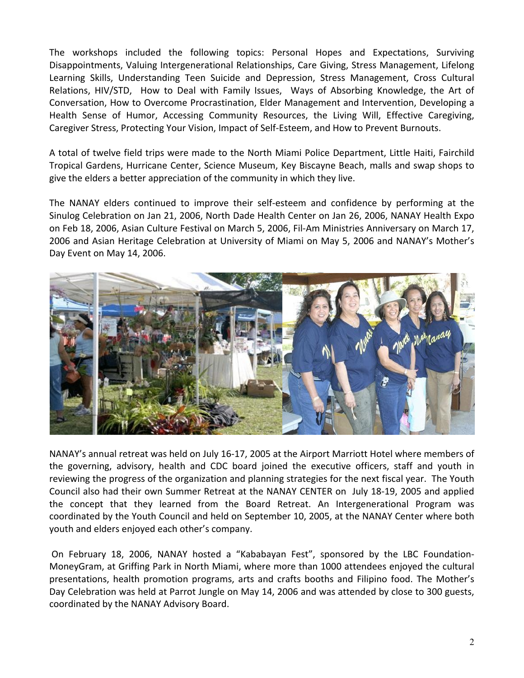The workshops included the following topics: Personal Hopes and Expectations, Surviving Disappointments, Valuing Intergenerational Relationships, Care Giving, Stress Management, Lifelong Learning Skills, Understanding Teen Suicide and Depression, Stress Management, Cross Cultural Relations, HIV/STD, How to Deal with Family Issues, Ways of Absorbing Knowledge, the Art of Conversation, How to Overcome Procrastination, Elder Management and Intervention, Developing a Health Sense of Humor, Accessing Community Resources, the Living Will, Effective Caregiving, Caregiver Stress, Protecting Your Vision, Impact of Self-Esteem, and How to Prevent Burnouts.

A total of twelve field trips were made to the North Miami Police Department, Little Haiti, Fairchild Tropical Gardens, Hurricane Center, Science Museum, Key Biscayne Beach, malls and swap shops to give the elders a better appreciation of the community in which they live.

The NANAY elders continued to improve their self-esteem and confidence by performing at the Sinulog Celebration on Jan 21, 2006, North Dade Health Center on Jan 26, 2006, NANAY Health Expo on Feb 18, 2006, Asian Culture Festival on March 5, 2006, Fil-Am Ministries Anniversary on March 17, 2006 and Asian Heritage Celebration at University of Miami on May 5, 2006 and NANAY's Mother's Day Event on May 14, 2006.



NANAY's annual retreat was held on July 16-17, 2005 at the Airport Marriott Hotel where members of the governing, advisory, health and CDC board joined the executive officers, staff and youth in reviewing the progress of the organization and planning strategies for the next fiscal year. The Youth Council also had their own Summer Retreat at the NANAY CENTER on July 18-19, 2005 and applied the concept that they learned from the Board Retreat. An Intergenerational Program was coordinated by the Youth Council and held on September 10, 2005, at the NANAY Center where both youth and elders enjoyed each other's company.

On February 18, 2006, NANAY hosted a "Kababayan Fest", sponsored by the LBC Foundation-MoneyGram, at Griffing Park in North Miami, where more than 1000 attendees enjoyed the cultural presentations, health promotion programs, arts and crafts booths and Filipino food. The Mother's Day Celebration was held at Parrot Jungle on May 14, 2006 and was attended by close to 300 guests, coordinated by the NANAY Advisory Board.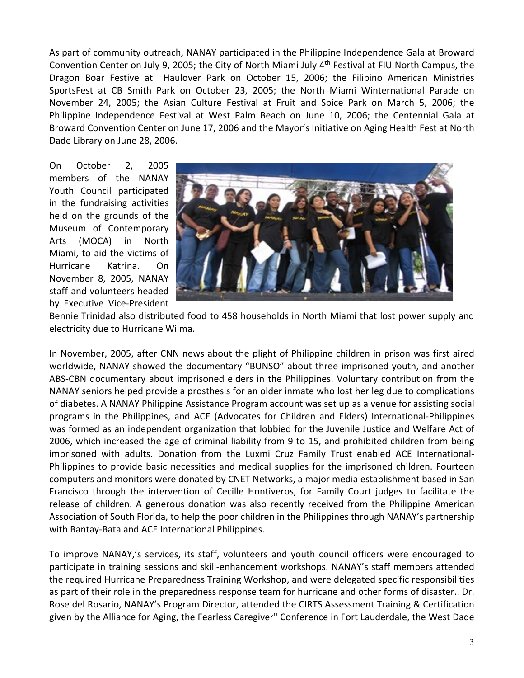As part of community outreach, NANAY participated in the Philippine Independence Gala at Broward Convention Center on July 9, 2005; the City of North Miami July 4th Festival at FIU North Campus, the Dragon Boar Festive at Haulover Park on October 15, 2006; the Filipino American Ministries SportsFest at CB Smith Park on October 23, 2005; the North Miami Winternational Parade on November 24, 2005; the Asian Culture Festival at Fruit and Spice Park on March 5, 2006; the Philippine Independence Festival at West Palm Beach on June 10, 2006; the Centennial Gala at Broward Convention Center on June 17, 2006 and the Mayor's Initiative on Aging Health Fest at North Dade Library on June 28, 2006.

On October 2, 2005 members of the NANAY Youth Council participated in the fundraising activities held on the grounds of the Museum of Contemporary Arts (MOCA) in North Miami, to aid the victims of Hurricane Katrina. On November 8, 2005, NANAY staff and volunteers headed by Executive Vice-President



Bennie Trinidad also distributed food to 458 households in North Miami that lost power supply and electricity due to Hurricane Wilma.

In November, 2005, after CNN news about the plight of Philippine children in prison was first aired worldwide, NANAY showed the documentary "BUNSO" about three imprisoned youth, and another ABS-CBN documentary about imprisoned elders in the Philippines. Voluntary contribution from the NANAY seniors helped provide a prosthesis for an older inmate who lost her leg due to complications of diabetes. A NANAY Philippine Assistance Program account was set up as a venue for assisting social programs in the Philippines, and ACE (Advocates for Children and Elders) International-Philippines was formed as an independent organization that lobbied for the Juvenile Justice and Welfare Act of 2006, which increased the age of criminal liability from 9 to 15, and prohibited children from being imprisoned with adults. Donation from the Luxmi Cruz Family Trust enabled ACE International-Philippines to provide basic necessities and medical supplies for the imprisoned children. Fourteen computers and monitors were donated by CNET Networks, a major media establishment based in San Francisco through the intervention of Cecille Hontiveros, for Family Court judges to facilitate the release of children. A generous donation was also recently received from the Philippine American Association of South Florida, to help the poor children in the Philippines through NANAY's partnership with Bantay-Bata and ACE International Philippines.

To improve NANAY,'s services, its staff, volunteers and youth council officers were encouraged to participate in training sessions and skill-enhancement workshops. NANAY's staff members attended the required Hurricane Preparedness Training Workshop, and were delegated specific responsibilities as part of their role in the preparedness response team for hurricane and other forms of disaster.. Dr. Rose del Rosario, NANAY's Program Director, attended the CIRTS Assessment Training & Certification given by the Alliance for Aging, the Fearless Caregiver" Conference in Fort Lauderdale, the West Dade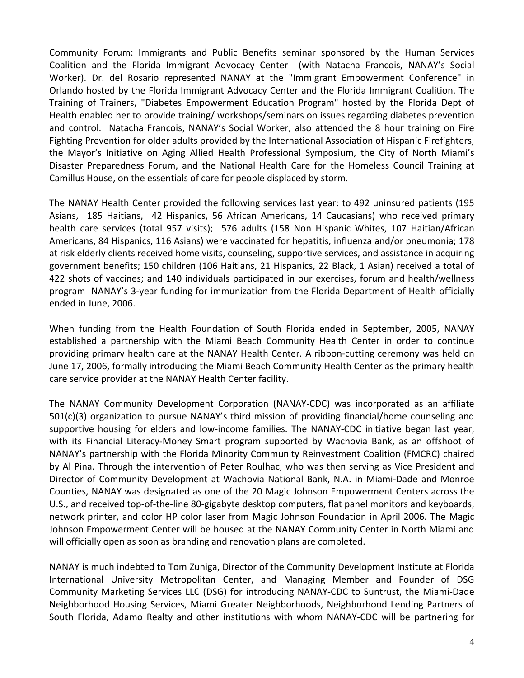Community Forum: Immigrants and Public Benefits seminar sponsored by the Human Services Coalition and the Florida Immigrant Advocacy Center (with Natacha Francois, NANAY's Social Worker). Dr. del Rosario represented NANAY at the "Immigrant Empowerment Conference" in Orlando hosted by the Florida Immigrant Advocacy Center and the Florida Immigrant Coalition. The Training of Trainers, "Diabetes Empowerment Education Program" hosted by the Florida Dept of Health enabled her to provide training/ workshops/seminars on issues regarding diabetes prevention and control. Natacha Francois, NANAY's Social Worker, also attended the 8 hour training on Fire Fighting Prevention for older adults provided by the International Association of Hispanic Firefighters, the Mayor's Initiative on Aging Allied Health Professional Symposium, the City of North Miami's Disaster Preparedness Forum, and the National Health Care for the Homeless Council Training at Camillus House, on the essentials of care for people displaced by storm.

The NANAY Health Center provided the following services last year: to 492 uninsured patients (195 Asians, 185 Haitians, 42 Hispanics, 56 African Americans, 14 Caucasians) who received primary health care services (total 957 visits); 576 adults (158 Non Hispanic Whites, 107 Haitian/African Americans, 84 Hispanics, 116 Asians) were vaccinated for hepatitis, influenza and/or pneumonia; 178 at risk elderly clients received home visits, counseling, supportive services, and assistance in acquiring government benefits; 150 children (106 Haitians, 21 Hispanics, 22 Black, 1 Asian) received a total of 422 shots of vaccines; and 140 individuals participated in our exercises, forum and health/wellness program NANAY's 3-year funding for immunization from the Florida Department of Health officially ended in June, 2006.

When funding from the Health Foundation of South Florida ended in September, 2005, NANAY established a partnership with the Miami Beach Community Health Center in order to continue providing primary health care at the NANAY Health Center. A ribbon-cutting ceremony was held on June 17, 2006, formally introducing the Miami Beach Community Health Center as the primary health care service provider at the NANAY Health Center facility.

The NANAY Community Development Corporation (NANAY-CDC) was incorporated as an affiliate 501(c)(3) organization to pursue NANAY's third mission of providing financial/home counseling and supportive housing for elders and low-income families. The NANAY-CDC initiative began last year, with its Financial Literacy-Money Smart program supported by Wachovia Bank, as an offshoot of NANAY's partnership with the Florida Minority Community Reinvestment Coalition (FMCRC) chaired by Al Pina. Through the intervention of Peter Roulhac, who was then serving as Vice President and Director of Community Development at Wachovia National Bank, N.A. in Miami-Dade and Monroe Counties, NANAY was designated as one of the 20 Magic Johnson Empowerment Centers across the U.S., and received top-of-the-line 80-gigabyte desktop computers, flat panel monitors and keyboards, network printer, and color HP color laser from Magic Johnson Foundation in April 2006. The Magic Johnson Empowerment Center will be housed at the NANAY Community Center in North Miami and will officially open as soon as branding and renovation plans are completed.

NANAY is much indebted to Tom Zuniga, Director of the Community Development Institute at Florida International University Metropolitan Center, and Managing Member and Founder of DSG Community Marketing Services LLC (DSG) for introducing NANAY-CDC to Suntrust, the Miami-Dade Neighborhood Housing Services, Miami Greater Neighborhoods, Neighborhood Lending Partners of South Florida, Adamo Realty and other institutions with whom NANAY-CDC will be partnering for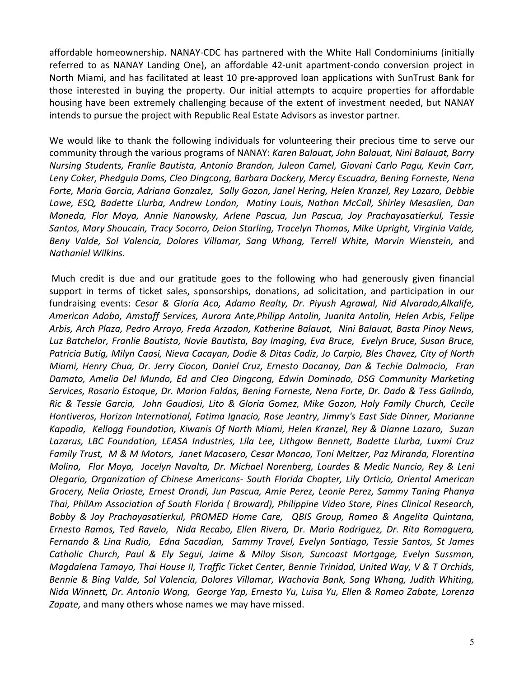affordable homeownership. NANAY-CDC has partnered with the White Hall Condominiums (initially referred to as NANAY Landing One), an affordable 42-unit apartment-condo conversion project in North Miami, and has facilitated at least 10 pre-approved loan applications with SunTrust Bank for those interested in buying the property. Our initial attempts to acquire properties for affordable housing have been extremely challenging because of the extent of investment needed, but NANAY intends to pursue the project with Republic Real Estate Advisors as investor partner.

We would like to thank the following individuals for volunteering their precious time to serve our community through the various programs of NANAY: *Karen Balauat, John Balauat, Nini Balauat, Barry Nursing Students, Franlie Bautista, Antonio Brandon, Juleon Camel, Giovani Carlo Pagu, Kevin Carr, Leny Coker, Phedguia Dams, Cleo Dingcong, Barbara Dockery, Mercy Escuadra, Bening Forneste, Nena Forte, Maria Garcia, Adriana Gonzalez, Sally Gozon, Janel Hering, Helen Kranzel, Rey Lazaro, Debbie Lowe, ESQ, Badette Llurba, Andrew London, Matiny Louis, Nathan McCall, Shirley Mesaslien, Dan Moneda, Flor Moya, Annie Nanowsky, Arlene Pascua, Jun Pascua, Joy Prachayasatierkul, Tessie Santos, Mary Shoucain, Tracy Socorro, Deion Starling, Tracelyn Thomas, Mike Upright, Virginia Valde,*  Beny Valde, Sol Valencia, Dolores Villamar, Sang Whang, Terrell White, Marvin Wienstein, and *Nathaniel Wilkins.* 

Much credit is due and our gratitude goes to the following who had generously given financial support in terms of ticket sales, sponsorships, donations, ad solicitation, and participation in our fundraising events: *Cesar & Gloria Aca, Adamo Realty, Dr. Piyush Agrawal, Nid Alvarado,Alkalife, American Adobo, Amstaff Services, Aurora Ante,Philipp Antolin, Juanita Antolin, Helen Arbis, Felipe Arbis, Arch Plaza, Pedro Arroyo, Freda Arzadon, Katherine Balauat, Nini Balauat, Basta Pinoy News, Luz Batchelor, Franlie Bautista, Novie Bautista, Bay Imaging, Eva Bruce, Evelyn Bruce, Susan Bruce, Patricia Butig, Milyn Caasi, Nieva Cacayan, Dodie & Ditas Cadiz, Jo Carpio, Bles Chavez, City of North Miami, Henry Chua, Dr. Jerry Ciocon, Daniel Cruz, Ernesto Dacanay, Dan & Techie Dalmacio, Fran Damato, Amelia Del Mundo, Ed and Cleo Dingcong, Edwin Dominado, DSG Community Marketing Services, Rosario Estoque, Dr. Marion Faldas, Bening Forneste, Nena Forte, Dr. Dado & Tess Galindo, Ric & Tessie Garcia, John Gaudiosi, Lito & Gloria Gomez, Mike Gozon, Holy Family Church, Cecile Hontiveros, Horizon International, Fatima Ignacio, Rose Jeantry, Jimmy's East Side Dinner, Marianne Kapadia, Kellogg Foundation, Kiwanis Of North Miami, Helen Kranzel, Rey & Dianne Lazaro, Suzan Lazarus, LBC Foundation, LEASA Industries, Lila Lee, Lithgow Bennett, Badette Llurba, Luxmi Cruz Family Trust, M & M Motors, Janet Macasero, Cesar Mancao, Toni Meltzer, Paz Miranda, Florentina Molina, Flor Moya, Jocelyn Navalta, Dr. Michael Norenberg, Lourdes & Medic Nuncio, Rey & Leni Olegario, Organization of Chinese Americans- South Florida Chapter, Lily Orticio, Oriental American Grocery, Nelia Orioste, Ernest Orondi, Jun Pascua, Amie Perez, Leonie Perez, Sammy Taning Phanya Thai, PhilAm Association of South Florida ( Broward), Philippine Video Store, Pines Clinical Research, Bobby & Joy Prachayasatierkul, PROMED Home Care, QBIS Group, Romeo & Angelita Quintana, Ernesto Ramos, Ted Ravelo, Nida Recabo, Ellen Rivera, Dr. Maria Rodriguez, Dr. Rita Romaguera, Fernando & Lina Rudio, Edna Sacadian, Sammy Travel, Evelyn Santiago, Tessie Santos, St James Catholic Church, Paul & Ely Segui, Jaime & Miloy Sison, Suncoast Mortgage, Evelyn Sussman, Magdalena Tamayo, Thai House II, Traffic Ticket Center, Bennie Trinidad, United Way, V & T Orchids, Bennie & Bing Valde, Sol Valencia, Dolores Villamar, Wachovia Bank, Sang Whang, Judith Whiting, Nida Winnett, Dr. Antonio Wong, George Yap, Ernesto Yu, Luisa Yu, Ellen & Romeo Zabate, Lorenza Zapate,* and many others whose names we may have missed.